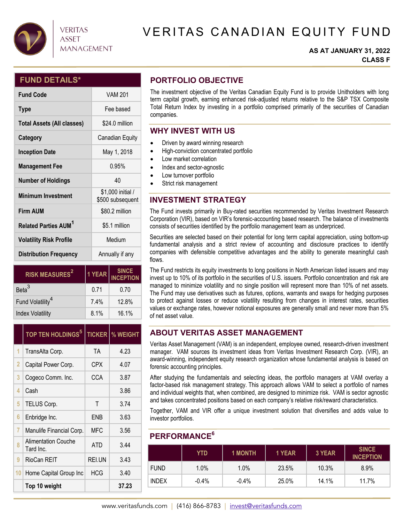

## **VERITAS ASSET MANAGEMENT**

# VERITAS CANADIAN EQUITY FUND

#### **AS AT JANUARY 31, 2022 CLASS F**

### **FUND DETAILS\***

| <b>Fund Code</b>                       | <b>VAM 201</b>                        |  |  |
|----------------------------------------|---------------------------------------|--|--|
| <b>Type</b>                            | Fee based                             |  |  |
| <b>Total Assets (All classes)</b>      | \$24.0 million                        |  |  |
| Category                               | Canadian Equity                       |  |  |
| <b>Inception Date</b>                  | May 1, 2018                           |  |  |
| <b>Management Fee</b>                  | 0.95%                                 |  |  |
| <b>Number of Holdings</b>              | 40                                    |  |  |
| <b>Minimum Investment</b>              | \$1,000 initial /<br>\$500 subsequent |  |  |
| <b>Firm AUM</b>                        | \$80.2 million                        |  |  |
| <b>Related Parties AUM<sup>1</sup></b> | \$5.1 million                         |  |  |
| <b>Volatility Risk Profile</b>         | Medium                                |  |  |
| <b>Distribution Frequency</b>          | Annually if any                       |  |  |

| <b>RISK MEASURES<sup>2</sup></b> | 1 YEAR | <b>SINCE</b><br><b>INCEPTION</b> |  |
|----------------------------------|--------|----------------------------------|--|
| Beta <sup>3</sup>                | 0.71   | 0.70                             |  |
| Fund Volatility <sup>4</sup>     | 7.4%   | 12.8%                            |  |
| <b>Index Volatility</b>          | 8.1%   | 16.1%                            |  |

|                | <b>TOP TEN HOLDINGS<sup>5</sup></b><br><b>TICKER</b> |            | <b>% WEIGHT</b> |
|----------------|------------------------------------------------------|------------|-----------------|
| 1              | TransAlta Corp.                                      | TA         | 4.23            |
| $\overline{2}$ | Capital Power Corp.                                  | <b>CPX</b> | 4.07            |
| 3              | Cogeco Comm. Inc.                                    | CCA        | 3.87            |
| 4              | Cash                                                 |            | 3.86            |
| 5              | Τ<br>TELUS Corp.                                     |            | 3.74            |
| 6              | Enbridge Inc.                                        | FNB        | 3.63            |
| 7              | Manulife Financial Corp.                             | MFC        | 3.56            |
| 8              | <b>Alimentation Couche</b><br>Tard Inc.              | <b>ATD</b> | 3.44            |
| 9              | RioCan REIT                                          | REI.UN     | 3.43            |
| 10             | Home Capital Group Inc                               | <b>HCG</b> | 3.40            |
|                | Top 10 weight                                        |            | 37.23           |

# **PORTFOLIO OBJECTIVE**

The investment objective of the Veritas Canadian Equity Fund is to provide Unitholders with long term capital growth, earning enhanced risk-adjusted returns relative to the S&P TSX Composite Total Return Index by investing in a portfolio comprised primarily of the securities of Canadian companies.

### **WHY INVEST WITH US**

- Driven by award winning research
- $\bullet$  High-conviction concentrated portfolio
- Low market correlation
- Index and sector-agnostic
- Low turnover portfolio
- Strict risk management

## **INVESTMENT STRATEGY**

The Fund invests primarily in Buy-rated securities recommended by Veritas Investment Research Corporation (VIR), based on VIR's forensic-accounting based research. The balance of investments consists of securities identified by the portfolio management team as underpriced.

Securities are selected based on their potential for long term capital appreciation, using bottom-up fundamental analysis and a strict review of accounting and disclosure practices to identify companies with defensible competitive advantages and the ability to generate meaningful cash flows.

The Fund restricts its equity investments to long positions in North American listed issuers and may invest up to 10% of its portfolio in the securities of U.S. issuers. Portfolio concentration and risk are managed to minimize volatility and no single position will represent more than 10% of net assets. The Fund may use derivatives such as futures, options, warrants and swaps for hedging purposes to protect against losses or reduce volatility resulting from changes in interest rates, securities values or exchange rates, however notional exposures are generally small and never more than 5% of net asset value.

## **ABOUT VERITAS ASSET MANAGEMENT**

Veritas Asset Management (VAM) is an independent, employee owned, research-driven investment manager. VAM sources its investment ideas from Veritas Investment Research Corp. (VIR), an award-winning, independent equity research organization whose fundamental analysis is based on forensic accounting principles.

After studying the fundamentals and selecting ideas, the portfolio managers at VAM overlay a factor-based risk management strategy. This approach allows VAM to select a portfolio of names and individual weights that, when combined, are designed to minimize risk. VAM is sector agnostic and takes concentrated positions based on each company's relative risk/reward characteristics.

Together, VAM and VIR offer a unique investment solution that diversifies and adds value to investor portfolios.

#### **PERFORMANCE6**

|              | YTD     | <b>1 MONTH</b> | 1 YEAR | 3 YEAR | <b>SINCE</b><br><b>INCEPTION</b> |
|--------------|---------|----------------|--------|--------|----------------------------------|
| <b>FUND</b>  | 1.0%    | 1.0%           | 23.5%  | 10.3%  | 8.9%                             |
| <b>INDEX</b> | $-0.4%$ | $-0.4%$        | 25.0%  | 14.1%  | 11.7%                            |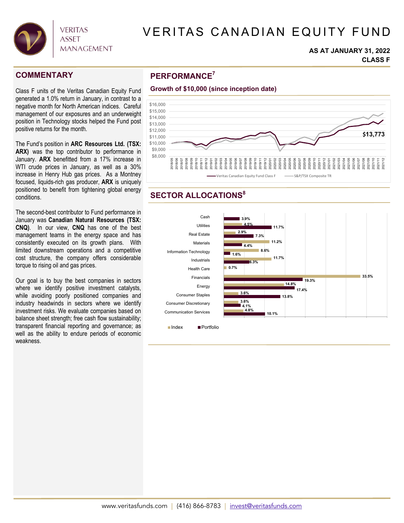

# VERITAS CANADIAN EQUITY FUND

#### **AS AT JANUARY 31, 2022 CLASS F**

2021/12

Class F units of the Veritas Canadian Equity Fund generated a 1.0% return in January, in contrast to a negative month for North American indices. Careful management of our exposures and an underweight position in Technology stocks helped the Fund post positive returns for the month.

The Fund's position in **ARC Resources Ltd. (TSX: ARX)** was the top contributor to performance in January. **ARX** benefitted from a 17% increase in WTI crude prices in January, as well as a 30% increase in Henry Hub gas prices. As a Montney focused, liquids-rich gas producer, **ARX** is uniquely positioned to benefit from tightening global energy conditions.

The second-best contributor to Fund performance in January was **Canadian Natural Resources (TSX: CNQ)**. In our view, **CNQ** has one of the best management teams in the energy space and has consistently executed on its growth plans. With limited downstream operations and a competitive cost structure, the company offers considerable torque to rising oil and gas prices.

Our goal is to buy the best companies in sectors where we identify positive investment catalysts, while avoiding poorly positioned companies and industry headwinds in sectors where we identify investment risks. We evaluate companies based on balance sheet strength; free cash flow sustainability; transparent financial reporting and governance; as well as the ability to endure periods of economic weakness.

# **PERFORMANCE COMMENTARY <sup>7</sup>**



### **SECTOR ALLOCATIONS<sup>8</sup>**